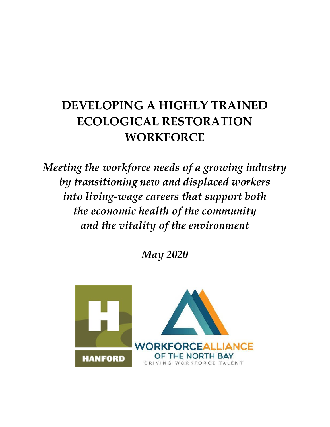# **DEVELOPING A HIGHLY TRAINED ECOLOGICAL RESTORATION WORKFORCE**

*Meeting the workforce needs of a growing industry by transitioning new and displaced workers into living-wage careers that support both the economic health of the community and the vitality of the environment* 

*May 2020*

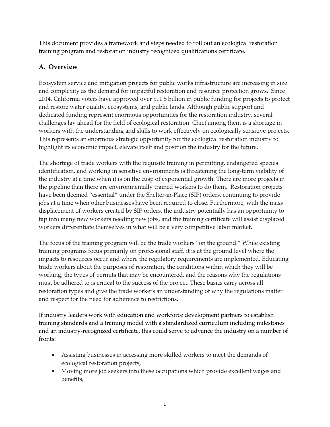This document provides a framework and steps needed to roll out an ecological restoration training program and restoration industry recognized qualifications certificate.

# **A. Overview**

Ecosystem service and mitigation projects for public works infrastructure are increasing in size and complexity as the demand for impactful restoration and resource protection grows. Since 2014, California voters have approved over \$11.5 billion in public funding for projects to protect and restore water quality, ecosystems, and public lands. Although public support and dedicated funding represent enormous opportunities for the restoration industry, several challenges lay ahead for the field of ecological restoration. Chief among them is a shortage in workers with the understanding and skills to work effectively on ecologically sensitive projects. This represents an enormous strategic opportunity for the ecological restoration industry to highlight its economic impact, elevate itself and position the industry for the future.

The shortage of trade workers with the requisite training in permitting, endangered species identification, and working in sensitive environments is threatening the long-term viability of the industry at a time when it is on the cusp of exponential growth. There are more projects in the pipeline than there are environmentally trained workers to do them. Restoration projects have been deemed "essential" under the Shelter-in-Place (SIP) orders, continuing to provide jobs at a time when other businesses have been required to close. Furthermore, with the mass displacement of workers created by SIP orders, the industry potentially has an opportunity to tap into many new workers needing new jobs, and the training certificate will assist displaced workers differentiate themselves in what will be a very competitive labor market.

The focus of the training program will be the trade workers "on the ground." While existing training programs focus primarily on professional staff, it is at the ground level where the impacts to resources occur and where the regulatory requirements are implemented. Educating trade workers about the purposes of restoration, the conditions within which they will be working, the types of permits that may be encountered, and the reasons why the regulations must be adhered to is critical to the success of the project. These basics carry across all restoration types and give the trade workers an understanding of why the regulations matter and respect for the need for adherence to restrictions.

If industry leaders work with education and workforce development partners to establish training standards and a training model with a standardized curriculum including milestones and an industry-recognized certificate, this could serve to advance the industry on a number of fronts:

- Assisting businesses in accessing more skilled workers to meet the demands of ecological restoration projects,
- Moving more job seekers into these occupations which provide excellent wages and benefits,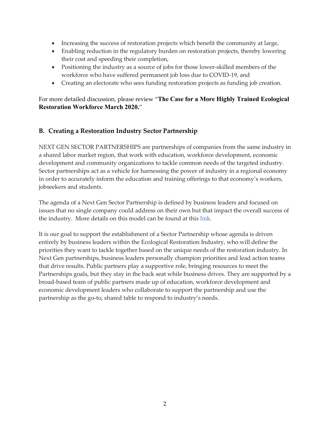- Increasing the success of restoration projects which benefit the community at large,
- Enabling reduction in the regulatory burden on restoration projects, thereby lowering their cost and speeding their completion,
- Positioning the industry as a source of jobs for those lower-skilled members of the workforce who have suffered permanent job loss due to COVID-19, and
- Creating an electorate who sees funding restoration projects as funding job creation.

For more detailed discussion, please review "**The Case for a More Highly Trained Ecological Restoration Workforce March 2020.**"

### **B. Creating a Restoration Industry Sector Partnership**

NEXT GEN SECTOR PARTNERSHIPS are partnerships of companies from the same industry in a shared labor market region, that work with education, workforce development, economic development and community organizations to tackle common needs of the targeted industry. Sector partnerships act as a vehicle for harnessing the power of industry in a regional economy in order to accurately inform the education and training offerings to that economy's workers, jobseekers and students.

The agenda of a Next Gen Sector Partnership is defined by business leaders and focused on issues that no single company could address on their own but that impact the overall success of the industry. More details on this model can be found at this [link](https://static1.squarespace.com/static/57ebae4d5016e1191947196b/t/5e45b8c0002e8a3e5fc025db/1581627590483/Training+Manual_2020.pdf).

It is our goal to support the establishment of a Sector Partnership whose agenda is driven entirely by business leaders within the Ecological Restoration Industry, who will define the priorities they want to tackle together based on the unique needs of the restoration industry. In Next Gen partnerships, business leaders personally champion priorities and lead action teams that drive results. Public partners play a supportive role, bringing resources to meet the Partnerships goals, but they stay in the back seat while business drives. They are supported by a broad-based team of public partners made up of education, workforce development and economic development leaders who collaborate to support the partnership and use the partnership as the go-to, shared table to respond to industry's needs.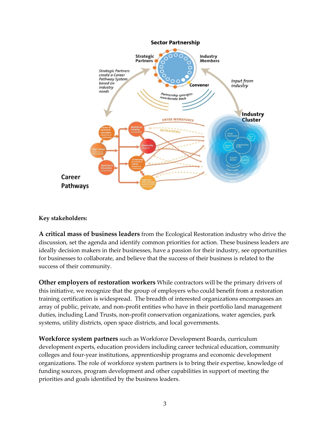

#### **Key stakeholders:**

**A critical mass of business leaders** from the Ecological Restoration industry who drive the discussion, set the agenda and identify common priorities for action. These business leaders are ideally decision makers in their businesses, have a passion for their industry, see opportunities for businesses to collaborate, and believe that the success of their business is related to the success of their community.

**Other employers of restoration workers** While contractors will be the primary drivers of this initiative, we recognize that the group of employers who could benefit from a restoration training certification is widespread. The breadth of interested organizations encompasses an array of public, private, and non-profit entities who have in their portfolio land management duties, including Land Trusts, non-profit conservation organizations, water agencies, park systems, utility districts, open space districts, and local governments.

**Workforce system partners** such as Workforce Development Boards, curriculum development experts, education providers including career technical education, community colleges and four-year institutions, apprenticeship programs and economic development organizations. The role of workforce system partners is to bring their expertise, knowledge of funding sources, program development and other capabilities in support of meeting the priorities and goals identified by the business leaders.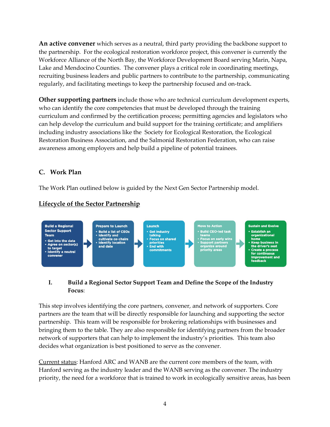**An active convener** which serves as a neutral, third party providing the backbone support to the partnership. For the ecological restoration workforce project, this convener is currently the Workforce Alliance of the North Bay, the Workforce Development Board serving Marin, Napa, Lake and Mendocino Counties. The convener plays a critical role in coordinating meetings, recruiting business leaders and public partners to contribute to the partnership, communicating regularly, and facilitating meetings to keep the partnership focused and on-track.

**Other supporting partners** include those who are technical curriculum development experts, who can identify the core competencies that must be developed through the training curriculum and confirmed by the certification process; permitting agencies and legislators who can help develop the curriculum and build support for the training certificate; and amplifiers including industry associations like the Society for Ecological Restoration, the Ecological Restoration Business Association, and the Salmonid Restoration Federation, who can raise awareness among employers and help build a pipeline of potential trainees.

### **C. Work Plan**

The Work Plan outlined below is guided by the Next Gen Sector Partnership model.



## **Lifecycle of the Sector Partnership**

## **I. Build a Regional Sector Support Team and Define the Scope of the Industry Focus**:

This step involves identifying the core partners, convener, and network of supporters. Core partners are the team that will be directly responsible for launching and supporting the sector partnership. This team will be responsible for brokering relationships with businesses and bringing them to the table. They are also responsible for identifying partners from the broader network of supporters that can help to implement the industry's priorities. This team also decides what organization is best positioned to serve as the convener.

Current status: Hanford ARC and WANB are the current core members of the team, with Hanford serving as the industry leader and the WANB serving as the convener. The industry priority, the need for a workforce that is trained to work in ecologically sensitive areas, has been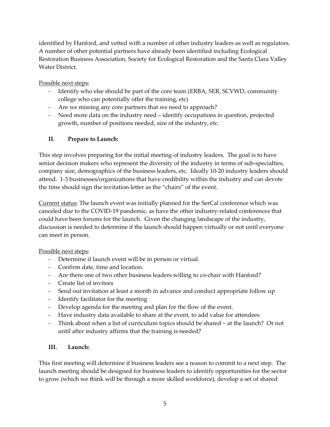identified by Hanford, and vetted with a number of other industry leaders as well as regulators. A number of other potential partners have already been identified including Ecological Restoration Business Association, Society for Ecological Restoration and the Santa Clara Valley Water District.

Possible next steps:

- Identify who else should be part of the core team (ERBA, SER, SCVWD, community college who can potentially offer the training, etc)
- Are we missing any core partners that we need to approach?
- Need more data on the industry need identify occupations in question, projected growth, number of positions needed, size of the industry, etc.

# **II. Prepare to Launch:**

This step involves preparing for the initial meeting of industry leaders. The goal is to have senior decision makers who represent the diversity of the industry in terms of sub-specialties, company size, demographics of the business leaders, etc. Ideally 10-20 industry leaders should attend. 1-3 businesses/organizations that have credibility within the industry and can devote the time should sign the invitation letter as the "chairs" of the event.

Current status: The launch event was initially planned for the SerCal conference which was canceled due to the COVID-19 pandemic, as have the other industry-related conferences that could have been forums for the launch. Given the changing landscape of the industry, discussion is needed to determine if the launch should happen virtually or not until everyone can meet in person.

## Possible next steps:

- Determine if launch event will be in person or virtual.
- Confirm date, time and location.
- Are there one of two other business leaders willing to co-chair with Hanford?
- Create list of invitees
- Send out invitation at least a month in advance and conduct appropriate follow up
- Identify facilitator for the meeting
- Develop agenda for the meeting and plan for the flow of the event.
- Have industry data available to share at the event, to add value for attendees
- Think about when a list of curriculum topics should be shared at the launch? Or not until after industry affirms that the training is needed?

# **III. Launch:**

This first meeting will determine if business leaders see a reason to commit to a next step. The launch meeting should be designed for business leaders to identify opportunities for the sector to grow (which we think will be through a more skilled workforce), develop a set of shared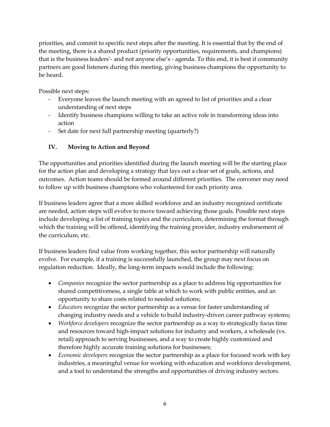priorities, and commit to specific next steps after the meeting. It is essential that by the end of the meeting, there is a shared product (priority opportunities, requirements, and champions) that is the business leaders'- and not anyone else's - agenda. To this end, it is best if community partners are good listeners during this meeting, giving business champions the opportunity to be heard.

Possible next steps:

- Everyone leaves the launch meeting with an agreed to list of priorities and a clear understanding of next steps
- Identify business champions willing to take an active role in transforming ideas into action
- Set date for next full partnership meeting (quarterly?)

### **IV. Moving to Action and Beyond**

The opportunities and priorities identified during the launch meeting will be the starting place for the action plan and developing a strategy that lays out a clear set of goals, actions, and outcomes. Action teams should be formed around different priorities. The convener may need to follow up with business champions who volunteered for each priority area.

If business leaders agree that a more skilled workforce and an industry recognized certificate are needed, action steps will evolve to move toward achieving those goals. Possible next steps include developing a list of training topics and the curriculum, determining the format through which the training will be offered, identifying the training provider, industry endorsement of the curriculum, etc.

If business leaders find value from working together, this sector partnership will naturally evolve. For example, if a training is successfully launched, the group may next focus on regulation reduction. Ideally, the long-term impacts would include the following:

- *Companies* recognize the sector partnership as a place to address big opportunities for shared competitiveness, a single table at which to work with public entities, and an opportunity to share costs related to needed solutions;
- *Educators* recognize the sector partnership as a venue for faster understanding of changing industry needs and a vehicle to build industry-driven career pathway systems;
- *Workforce developers* recognize the sector partnership as a way to strategically focus time and resources toward high-impact solutions for industry and workers, a wholesale (vs. retail) approach to serving businesses, and a way to create highly customized and therefore highly accurate training solutions for businesses;
- *Economic developers* recognize the sector partnership as a place for focused work with key industries, a meaningful venue for working with education and workforce development, and a tool to understand the strengths and opportunities of driving industry sectors.